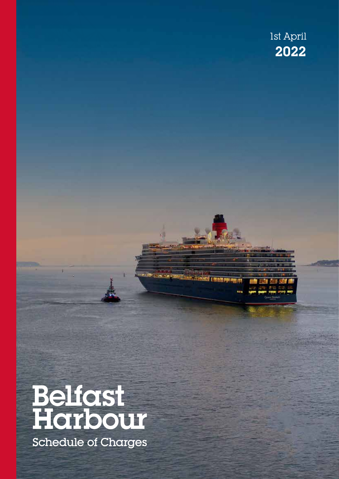### 2022 1st April



Belfast Harbour Schedule of Charges 1st April 2022 Page 1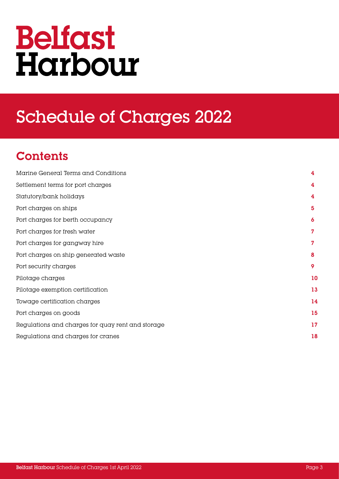## **Belfast** Harbour

### Schedule of Charges 2022

### **Contents**

| Marine General Terms and Conditions               | 4  |
|---------------------------------------------------|----|
| Settlement terms for port charges                 | 4  |
| Statutory/bank holidays                           | 4  |
| Port charges on ships                             | 5  |
| Port charges for berth occupancy                  | 6  |
| Port charges for fresh water                      | 7  |
| Port charges for gangway hire                     | 7  |
| Port charges on ship generated waste              | 8  |
| Port security charges                             | 9  |
| Pilotage charges                                  | 10 |
| Pilotage exemption certification                  | 13 |
| Towage certification charges                      | 14 |
| Port charges on goods                             | 15 |
| Regulations and charges for quay rent and storage | 17 |
| Regulations and charges for cranes                | 18 |
|                                                   |    |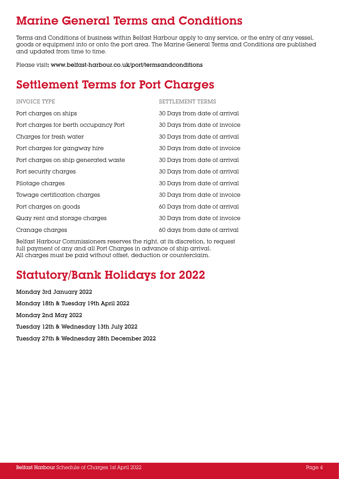### Marine General Terms and Conditions

Terms and Conditions of business within Belfast Harbour apply to any service, or the entry of any vessel, goods or equipment into or onto the port area. The Marine General Terms and Conditions are published and updated from time to time.

Please visit**:** www.belfast-harbour.co.uk/port/termsandconditions

### Settlement Terms for Port Charges

| <b>INVOICE TYPE</b>                   | <b>SETTLEMENT TERMS</b>      |
|---------------------------------------|------------------------------|
| Port charges on ships                 | 30 Days from date of arrival |
| Port charges for berth occupancy Port | 30 Days from date of invoice |
| Charges for fresh water               | 30 Days from date of arrival |
| Port charges for gangway hire         | 30 Days from date of invoice |
| Port charges on ship generated waste  | 30 Days from date of arrival |
| Port security charges                 | 30 Days from date of arrival |
| Pilotage charges                      | 30 Days from date of arrival |
| Towage certification charges          | 30 Days from date of invoice |
| Port charges on goods                 | 60 Days from date of arrival |
| Quay rent and storage charges         | 30 Days from date of invoice |
| Cranage charges                       | 60 days from date of arrival |
|                                       |                              |

Belfast Harbour Commissioners reserves the right, at its discretion, to request full payment of any and all Port Charges in advance of ship arrival. All charges must be paid without offset, deduction or counterclaim.

### Statutory/Bank Holidays for 2022

Monday 3rd January 2022 Monday 18th & Tuesday 19th April 2022 Monday 2nd May 2022 Tuesday 12th & Wednesday 13th July 2022 Tuesday 27th & Wednesday 28th December 2022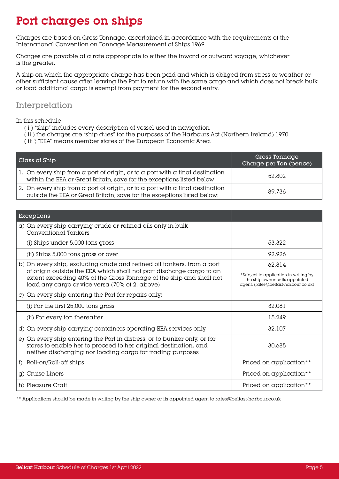### Port charges on ships

Charges are based on Gross Tonnage, ascertained in accordance with the requirements of the International Convention on Tonnage Measurement of Ships 1969

Charges are payable at a rate appropriate to either the inward or outward voyage, whichever is the greater.

A ship on which the appropriate charge has been paid and which is obliged from stress or weather or other sufficient cause after leaving the Port to return with the same cargo and which does not break bulk or load additional cargo is exempt from payment for the second entry.

#### Interpretation

In this schedule:

- ( i ) "ship" includes every description of vessel used in navigation
- ( ii ) the charges are "ship dues" for the purposes of the Harbours Act (Northern Ireland) 1970
- ( iii ) "EEA" means member states of the European Economic Area.

| Class of Ship                                                                                                                                                                | Gross Tonnage<br>Charge per Ton (pence) |
|------------------------------------------------------------------------------------------------------------------------------------------------------------------------------|-----------------------------------------|
| 1. On every ship from $\alpha$ port of origin, or to $\alpha$ port with $\alpha$ final destination<br>within the EEA or Great Britain, save for the exceptions listed below: | 52.802                                  |
| 2. On every ship from a port of origin, or to a port with a final destination<br>outside the EEA or Great Britain, save for the exceptions listed below:                     | 89.736                                  |

| <b>Exceptions</b>                                                                                                                                                                                                                                                       |                                                                                                                            |
|-------------------------------------------------------------------------------------------------------------------------------------------------------------------------------------------------------------------------------------------------------------------------|----------------------------------------------------------------------------------------------------------------------------|
| a) On every ship carrying crude or refined oils only in bulk<br>Conventional Tankers                                                                                                                                                                                    |                                                                                                                            |
| (i) Ships under 5,000 tons gross                                                                                                                                                                                                                                        | 53.322                                                                                                                     |
| (ii) Ships 5,000 tons gross or over                                                                                                                                                                                                                                     | 92.926                                                                                                                     |
| b) On every ship, excluding crude and refined oil tankers, from a port<br>of origin outside the EEA which shall not part discharge cargo to an<br>extent exceeding 40% of the Gross Tonnage of the ship and shall not<br>load any cargo or vice versa (70% of 2. above) | 62.814<br>*Subject to application in writing by<br>the ship owner or its appointed<br>agent. (rates@belfast-harbour.co.uk) |
| c) On every ship entering the Port for repairs only:                                                                                                                                                                                                                    |                                                                                                                            |
| (i) For the first 25,000 tons gross                                                                                                                                                                                                                                     | 32.081                                                                                                                     |
| (ii) For every ton thereafter                                                                                                                                                                                                                                           | 15.249                                                                                                                     |
| d) On every ship carrying containers operating EEA services only                                                                                                                                                                                                        | 32.107                                                                                                                     |
| e) On every ship entering the Port in distress, or to bunker only, or for<br>stores to enable her to proceed to her original destination, and<br>neither discharging nor loading cargo for trading purposes                                                             | 30.685                                                                                                                     |
| Roll-on/Roll-off ships<br>$\mathbf{f}$                                                                                                                                                                                                                                  | Priced on application**                                                                                                    |
| g) Cruise Liners                                                                                                                                                                                                                                                        | Priced on application**                                                                                                    |
| h) Pleasure Craft                                                                                                                                                                                                                                                       | Priced on application**                                                                                                    |

\*\* Applications should be made in writing by the ship owner or its appointed agent to rates@belfast-harbour.co.uk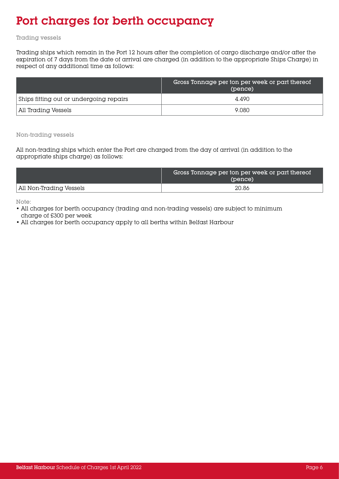### Port charges for berth occupancy

#### Trading vessels

Trading ships which remain in the Port 12 hours after the completion of cargo discharge and/or after the expiration of 7 days from the date of arrival are charged (in addition to the appropriate Ships Charge) in respect of any additional time as follows:

|                                         | Gross Tonnage per ton per week or part thereof<br>(pence) |
|-----------------------------------------|-----------------------------------------------------------|
| Ships fitting out or undergoing repairs | 4.490                                                     |
| All Trading Vessels                     | 9.080                                                     |

Non-trading vessels

All non-trading ships which enter the Port are charged from the day of arrival (in addition to the appropriate ships charge) as follows:

|                         | Gross Tonnage per ton per week or part thereof<br>(pence) |
|-------------------------|-----------------------------------------------------------|
| All Non-Trading Vessels | 20.86                                                     |

Note:

- All charges for berth occupancy (trading and non-trading vessels) are subject to minimum charge of £300 per week
- All charges for berth occupancy apply to all berths within Belfast Harbour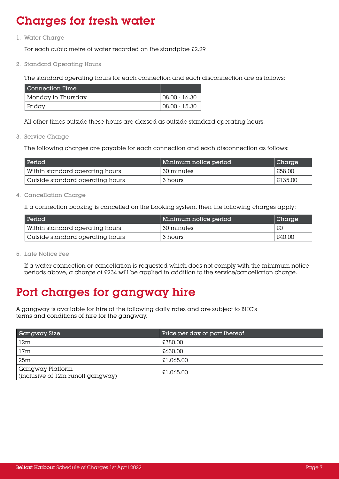### Charges for fresh water

1. Water Charge

For each cubic metre of water recorded on the standpipe £2.29

2. Standard Operating Hours

The standard operating hours for each connection and each disconnection are as follows:

| l Connection Time  |               |
|--------------------|---------------|
| Monday to Thursday | 08.00 - 16.30 |
| Fridav             | 08.00 - 15.30 |

All other times outside these hours are classed as outside standard operating hours.

3. Service Charge

The following charges are payable for each connection and each disconnection as follows:

| Period                           | Minimum notice period | $\vert$ Charge |
|----------------------------------|-----------------------|----------------|
| Within standard operating hours  | ' 30 minutes          | £58.00         |
| Outside standard operating hours | 3 hours               | £135.00        |

4. Cancellation Charge

If a connection booking is cancelled on the booking system, then the following charges apply:

| Period                           | Minimum notice period | Charge |
|----------------------------------|-----------------------|--------|
| Within standard operating hours  | 30 minutes            | £C     |
| Outside standard operating hours | 3 hours               | £40.00 |

5. Late Notice Fee

If a water connection or cancellation is requested which does not comply with the minimum notice periods above, a charge of £234 will be applied in addition to the service/cancellation charge.

### Port charges for gangway hire

A gangway is available for hire at the following daily rates and are subject to BHC's terms and conditions of hire for the gangway.

| Gangway Size                                          | Price per day or part thereof |
|-------------------------------------------------------|-------------------------------|
| 12m                                                   | £380.00                       |
| 17 <sub>m</sub>                                       | £630.00                       |
| 25m                                                   | £1,065.00                     |
| Gangway Platform<br>(inclusive of 12m runoff gangway) | £1,065.00                     |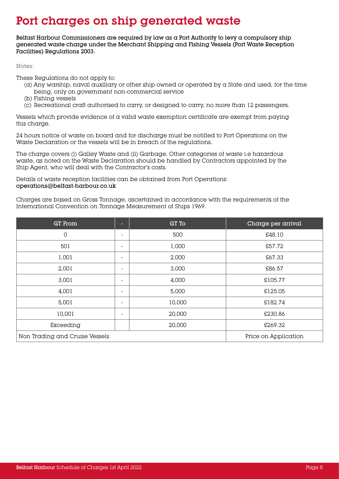### Port charges on ship generated waste

Belfast Harbour Commissioners are required by law as a Port Authority to levy a compulsory ship generated waste charge under the Merchant Shipping and Fishing Vessels (Port Waste Reception Facilities) Regulations 2003.

Notes:

These Regulations do not apply to:

- (a) Any warship, naval auxiliary or other ship owned or operated by a State and used, for the time being, only on government non-commercial service
- (b) Fishing vessels
- (c) Recreational craft authorised to carry, or designed to carry, no more than 12 passengers.

Vessels which provide evidence of a valid waste exemption certificate are exempt from paying this charge.

24 hours notice of waste on board and for discharge must be notified to Port Operations on the Waste Declaration or the vessels will be in breach of the regulations.

The charge covers (i) Galley Waste and (ii) Garbage. Other categories of waste i.e hazardous waste, as noted on the Waste Declaration should be handled by Contractors appointed by the Ship Agent, who will deal with the Contractor's costs.

Details of waste reception facilities can be obtained from Port Operations: operations@belfast-harbour.co.uk

Charges are based on Gross Tonnage, ascertained in accordance with the requirements of the International Convention on Tonnage Measurement of Ships 1969.

| <b>GT</b> From                 | о                        | GT To  | Charge per arrival   |
|--------------------------------|--------------------------|--------|----------------------|
| $\overline{0}$                 | $\overline{\phantom{0}}$ | 500    | £48.10               |
| 501                            | $\overline{\phantom{0}}$ | 1,000  | £57.72               |
| 1,001                          | $\overline{\phantom{0}}$ | 2,000  | £67.33               |
| 2,001                          | $\overline{\phantom{0}}$ | 3,000  | £86.57               |
| 3,001                          | $\overline{\phantom{a}}$ | 4,000  | £105.77              |
| 4,001                          | ٠                        | 5,000  | £125.05              |
| 5,001                          | $\overline{\phantom{0}}$ | 10,000 | £182.74              |
| 10,001                         | $\overline{\phantom{0}}$ | 20,000 | £230.86              |
| Exceeding                      |                          | 20,000 | £269.32              |
| Non Trading and Cruise Vessels |                          |        | Price on Application |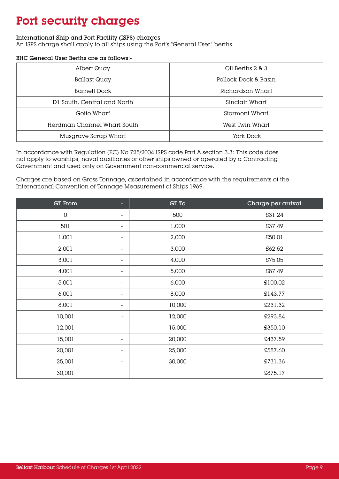### Port security charges

#### International Ship and Port Facility (ISPS) charges

An ISPS charge shall apply to all ships using the Port's "General User" berths.

#### BHC General User Berths are as follows:-

| Albert Quay                 | Oil Berths 2 & 3     |
|-----------------------------|----------------------|
| Ballast Quay                | Pollock Dock & Basin |
| Barnett Dock                | Richardson Wharf     |
| DI South, Central and North | Sinclair Wharf       |
| Gotto Wharf                 | Stormont Wharf       |
| Herdman Channel Wharf South | West Twin Wharf      |
| Musgrave Scrap Wharf        | York Dock            |

In accordance with Regulation (EC) No 725/2004 ISPS code Part A section 3.3: This code does not apply to warships, naval auxiliaries or other ships owned or operated by a Contracting Government and used only on Government non-commercial service.

Charges are based on Gross Tonnage, ascertained in accordance with the requirements of the International Convention of Tonnage Measurement of Ships 1969.

| <b>GT</b> From |                          | GT To  | Charge per arrival |
|----------------|--------------------------|--------|--------------------|
| $\mathsf 0$    | $\overline{a}$           | 500    | £31.24             |
| 501            | $\overline{a}$           | 1,000  | £37.49             |
| 1,001          | $\overline{\phantom{a}}$ | 2,000  | £50.01             |
| 2,001          | $\overline{\phantom{0}}$ | 3,000  | £62.52             |
| 3,001          | $\overline{\phantom{0}}$ | 4,000  | £75.05             |
| 4,001          | $\overline{\phantom{a}}$ | 5,000  | £87.49             |
| 5,001          | $\blacksquare$           | 6,000  | £100.02            |
| 6,001          | $\overline{\phantom{a}}$ | 8,000  | £143.77            |
| 8,001          | $\overline{\phantom{a}}$ | 10,000 | £231.32            |
| 10,001         | $\overline{\phantom{a}}$ | 12,000 | £293.84            |
| 12,001         | $\overline{\phantom{a}}$ | 15,000 | £350.10            |
| 15,001         | $\overline{\phantom{a}}$ | 20,000 | £437.59            |
| 20,001         | $\overline{\phantom{0}}$ | 25,000 | £587.60            |
| 25,001         | $\overline{\phantom{a}}$ | 30,000 | £731.36            |
| 30,001         |                          |        | £875.17            |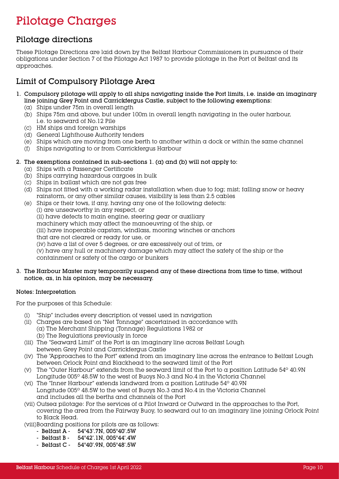### Pilotage Charges

#### Pilotage directions

These Pilotage Directions are laid down by the Belfast Harbour Commissioners in pursuance of their obligations under Section 7 of the Pilotage Act 1987 to provide pilotage in the Port of Belfast and its approaches.

#### Limit of Compulsory Pilotage Area

- 1. Compulsory pilotage will apply to all ships navigating inside the Port limits, i.e. inside an imaginary line joining Grey Point and Carrickfergus Castle, subject to the following exemptions:
	- (a) Ships under 75m in overall length
	- (b) Ships 75m and above, but under 100m in overall length navigating in the outer harbour, i.e. to seaward of No.12 Pile
	- (c) HM ships and foreign warships
	- (d) General Lighthouse Authority tenders
	- (e) Ships which are moving from one berth to another within a dock or within the same channel
	- (f) Ships navigating to or from Carrickfergus Harbour
- 2. The exemptions contained in sub-sections  $1.$  (a) and (b) will not apply to:
	- (a) Ships with a Passenger Certificate
	- (b) Ships carrying hazardous cargoes in bulk
	- (c) Ships in ballast which are not gas free
	- (d) Ships not fitted with a working radar installation when due to fog; mist; falling snow or heavy rainstorm, or any other similar causes, visibility is less than 2.5 cables
	- (e) Ships or their tows, if any, having any one of the following defects: (i) are unseaworthy in any respect, or (ii) have defects to main engine, steering gear or auxiliary machinery which may affect the manoeuvring of the ship, or (iii) have inoperable capstan, windlass, mooring winches or anchors that are not cleared or ready for use, or (iv) have a list of over 5 degrees, or are excessively out of trim, or (v) have any hull or machinery damage which may affect the safety of the ship or the containment or safety of the cargo or bunkers
- 3. The Harbour Master may temporarily suspend any of these directions from time to time, without notice, as, in his opinion, may be necessary.

#### Notes: Interpretation

For the purposes of this Schedule:

- (i) "Ship" includes every description of vessel used in navigation
- (ii) Charges are based on "Net Tonnage" ascertained in accordance with (a) The Merchant Shipping (Tonnage) Regulations 1982 or (b) The Regulations previously in force
- (iii) The "Seaward Limit" of the Port is an imaginary line across Belfast Lough between Grey Point and Carrickfergus Castle
- (iv) The "Approaches to the Port" extend from an imaginary line across the entrance to Belfast Lough between Orlock Point and Blackhead to the seaward limit of the Port
- (v) The "Outer Harbour" extends from the seaward limit of the Port to a position Latitude  $54^{\circ}$  40.9N Longitude 005º 48.5W to the west of Buoys No.3 and No.4 in the Victoria Channel
- (vi) The "Inner Harbour" extends landward from a position Latitude 54º 40.9N Longitude 005º 48.5W to the west of Buoys No.3 and No.4 in the Victoria Channel and includes all the berths and channels of the Port
- (vii) Outsea pilotage: For the services of a Pilot Inward or Outward in the approaches to the Port, covering the area from the Fairway Buoy, to seaward out to an imaginary line joining Orlock Point to Black Head.
- (viii)Boarding positions for pilots are as follows:
	- Belfast A 54°43'.7N, 005°40'.5W
	- Belfast B 54°42'.1N, 005°44'.4W
	- Belfast C 54°40'.9N, 005°48'.5W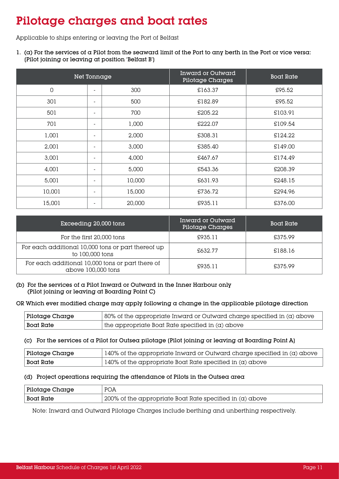### Pilotage charges and boat rates

Applicable to ships entering or leaving the Port of Belfast

1. ( $\alpha$ ) For the services of  $\alpha$  Pilot from the seaward limit of the Port to any berth in the Port or vice versa: [Pilot joining or leaving at position 'Belfast B']

| Net Tonnage |                              |        | <b>Inward or Outward</b><br>Pilotage Charges | <b>Boat Rate</b> |
|-------------|------------------------------|--------|----------------------------------------------|------------------|
| $\mathbf 0$ | $\overline{\phantom{a}}$     | 300    | £163.37                                      | £95.52           |
| 301         | $\blacksquare$               | 500    | £182.89                                      | £95.52           |
| 501         | $\overline{\phantom{m}}$     | 700    | £205.22                                      | £103.91          |
| 701         | $\qquad \qquad \blacksquare$ | 1,000  | £222.07                                      | £109.54          |
| 1,001       | $\overline{\phantom{a}}$     | 2,000  | £308.31                                      | £124.22          |
| 2,001       | $\overline{\phantom{a}}$     | 3,000  | £385.40                                      | £149.00          |
| 3,001       | $\overline{\phantom{a}}$     | 4,000  | £467.67                                      | £174.49          |
| 4,001       | $\overline{\phantom{a}}$     | 5,000  | £543.36                                      | £208.39          |
| 5,001       | $\overline{\phantom{a}}$     | 10,000 | £631.93                                      | £248.15          |
| 10,001      | $\overline{\phantom{a}}$     | 15,000 | £736.72                                      | £294.96          |
| 15,001      | $\overline{\phantom{a}}$     | 20,000 | £935.11                                      | £376.00          |

| Exceeding 20,000 tons                                                  | Inward or Outward<br>Pilotage Charges | <b>Boat Rate</b> |
|------------------------------------------------------------------------|---------------------------------------|------------------|
| For the first 20,000 tons                                              | £935.11                               | £375.99          |
| For each additional 10,000 tons or part thereof up<br>to 100,000 tons  | £632.77                               | £188.16          |
| For each additional 10,000 tons or part there of<br>above 100,000 tons | £935.11                               | £375.99          |

(b) For the services of a Pilot Inward or Outward in the Inner Harbour only (Pilot joining or leaving at Boarding Point C)

#### OR Which ever modified charge may apply following a change in the applicable pilotage direction

| Pilotage Charge | $\frac{1}{2}$ 80% of the appropriate Inward or Outward charge specified in (a) above |
|-----------------|--------------------------------------------------------------------------------------|
| Boat Rate       | $\vert$ the appropriate Boat Rate specified in (a) above                             |

#### (c) For the services of a Pilot for Outsea pilotage [Pilot joining or leaving at Boarding Point A]

| Pilotage Charge  | 140% of the appropriate Inward or Outward charge specified in $(\alpha)$ above |  |
|------------------|--------------------------------------------------------------------------------|--|
| <b>Boat Rate</b> | $\vert$ 140% of the appropriate Boat Rate specified in (a) above               |  |

#### (d) Project operations requiring the attendance of Pilots in the Outsea area

| Pilotage Charge  | <b>POA</b>                                                      |
|------------------|-----------------------------------------------------------------|
| <b>Boat Rate</b> | $\mid$ 200% of the appropriate Boat Rate specified in (a) above |

Note: Inward and Outward Pilotage Charges include berthing and unberthing respectively.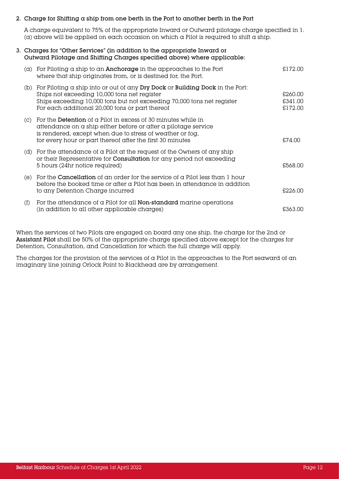#### 2. Charge for Shifting a ship from one berth in the Port to another berth in the Port

A charge equivalent to 75% of the appropriate Inward or Outward pilotage charge specified in 1.  $\alpha$  above will be applied on each occasion on which a Pilot is required to shift a ship.

#### 3. Charges for "Other Services" (in addition to the appropriate Inward or Outward Pilotage and Shifting Charges specified above) where applicable:

| (a) | For Piloting $\alpha$ ship to an <b>Anchorage</b> in the approaches to the Port<br>where that ship originates from, or is destined for, the Port.                                                                                                                     | £172.00                       |
|-----|-----------------------------------------------------------------------------------------------------------------------------------------------------------------------------------------------------------------------------------------------------------------------|-------------------------------|
|     | (b) For Piloting $\alpha$ ship into or out of any Dry Dock or Building Dock in the Port:<br>Ships not exceeding 10,000 tons net register<br>Ships exceeding 10,000 tons but not exceeding 70,000 tons net register<br>For each additional 20,000 tons or part thereof | £260.00<br>£341.00<br>£172.00 |
| (C) | For the <b>Detention</b> of a Pilot in excess of 30 minutes while in<br>attendance on a ship either before or after a pilotage service<br>is rendered, except when due to stress of weather or fog,<br>for every hour or part thereof after the first 30 minutes      | £74.00                        |
|     | (d) For the attendance of a Pilot at the request of the Owners of any ship<br>or their Representative for Consultation for any period not exceeding<br>5 hours (24hr notice required)                                                                                 | £568.00                       |
| (e) | For the $\emph{Cancellation}$ of an order for the service of a Pilot less than 1 hour<br>before the booked time or after a Pilot has been in attendance in addition<br>to any Detention Charge incurred                                                               | £226.00                       |
| (f) | For the attendance of a Pilot for all $Non-standard$ marine operations<br>(in addition to all other applicable charges)                                                                                                                                               | £363.00                       |

When the services of two Pilots are engaged on board any one ship, the charge for the 2nd or Assistant Pilot shall be 50% of the appropriate charge specified above except for the charges for Detention, Consultation, and Cancellation for which the full charge will apply.

The charges for the provision of the services of a Pilot in the approaches to the Port seaward of an imaginary line joining Orlock Point to Blackhead are by arrangement.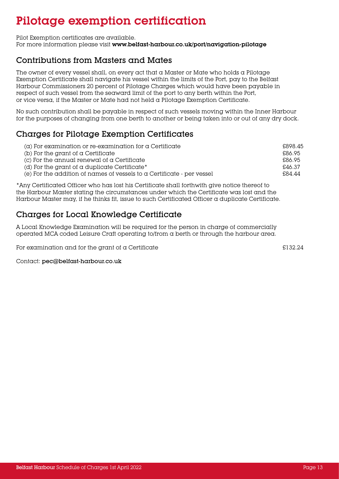### Pilotage exemption certification

Pilot Exemption certificates are available.

For more information please visit www.belfast-harbour.co.uk/port/navigation-pilotage

#### Contributions from Masters and Mates

The owner of every vessel shall, on every act that a Master or Mate who holds a Pilotage Exemption Certificate shall navigate his vessel within the limits of the Port, pay to the Belfast Harbour Commissioners 20 percent of Pilotage Charges which would have been payable in respect of such vessel from the seaward limit of the port to any berth within the Port, or vice versa, if the Master or Mate had not held a Pilotage Exemption Certificate.

No such contribution shall be payable in respect of such vessels moving within the Inner Harbour for the purposes of changing from one berth to another or being taken into or out of any dry dock.

#### Charges for Pilotage Exemption Certificates

| $(\alpha)$ For examination or re-examination for a Certificate         | £898.45 |
|------------------------------------------------------------------------|---------|
| (b) For the grant of a Certificate                                     | £86.95  |
| $(c)$ For the annual renewal of a Certificate                          | £86.95  |
| (d) For the grant of a duplicate Certificate*                          | £46.37  |
| (e) For the addition of names of vessels to a Certificate - per vessel | £84.44  |

\*Any Certificated Officer who has lost his Certificate shall forthwith give notice thereof to the Harbour Master stating the circumstances under which the Certificate was lost and the Harbour Master may, if he thinks fit, issue to such Certificated Officer a duplicate Certificate.

#### Charges for Local Knowledge Certificate

A Local Knowledge Examination will be required for the person in charge of commercially operated MCA coded Leisure Craft operating to/from a berth or through the harbour area.

For examination and for the grant of a Certificate  $\qquad 2132.24$ 

Contact: pec@belfast-harbour.co.uk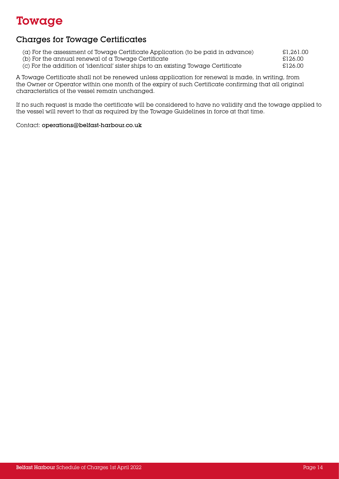### Towage

#### Charges for Towage Certificates

- (a) For the assessment of Towage Certificate Application (to be paid in advance)  $\qquad 21,261.00$ (b) For the annual renewal of a Towage Certificate  $\text{E126.00}$
- (c) For the addition of 'identical' sister ships to an existing Towage Certificate  $$126.00$

A Towage Certificate shall not be renewed unless application for renewal is made, in writing, from the Owner or Operator within one month of the expiry of such Certificate confirming that all original characteristics of the vessel remain unchanged.

If no such request is made the certificate will be considered to have no validity and the towage applied to the vessel will revert to that as required by the Towage Guidelines in force at that time.

Contact: operations@belfast-harbour.co.uk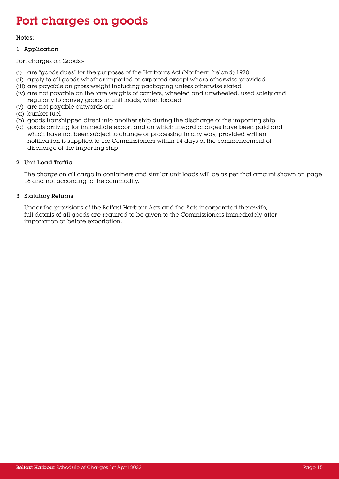### Port charges on goods

#### Notes:

#### 1. Application

Port charges on Goods:-

- (i) are "goods dues" for the purposes of the Harbours Act (Northern Ireland) 1970
- (ii) apply to all goods whether imported or exported except where otherwise provided
- (iii) are payable on gross weight including packaging unless otherwise stated
- (iv) are not payable on the tare weights of carriers, wheeled and unwheeled, used solely and regularly to convey goods in unit loads, when loaded
- (v) are not payable outwards on:
- (a) bunker fuel
- (b) goods transhipped direct into another ship during the discharge of the importing ship
- (c) goods arriving for immediate export and on which inward charges have been paid and which have not been subject to change or processing in any way, provided written notification is supplied to the Commissioners within 14 days of the commencement of discharge of the importing ship.

#### 2. Unit Load Traffic

The charge on all cargo in containers and similar unit loads will be as per that amount shown on page 16 and not according to the commodity.

#### 3. Statutory Returns

Under the provisions of the Belfast Harbour Acts and the Acts incorporated therewith, full details of all goods are required to be given to the Commissioners immediately after importation or before exportation.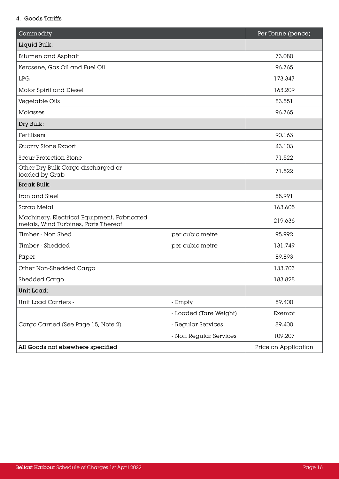#### 4. Goods Tariffs

| Commodity                                                                           |                        | Per Tonne (pence)    |
|-------------------------------------------------------------------------------------|------------------------|----------------------|
| Liquid Bulk:                                                                        |                        |                      |
| <b>Bitumen and Asphalt</b>                                                          |                        | 73.080               |
| Kerosene, Gas Oil and Fuel Oil                                                      |                        | 96.765               |
| <b>LPG</b>                                                                          |                        | 173.347              |
| Motor Spirit and Diesel                                                             |                        | 163.209              |
| Vegetable Oils                                                                      |                        | 83.551               |
| Molasses                                                                            |                        | 96.765               |
| Dry Bulk:                                                                           |                        |                      |
| Fertilisers                                                                         |                        | 90.163               |
| Quarry Stone Export                                                                 |                        | 43.103               |
| <b>Scour Protection Stone</b>                                                       |                        | 71.522               |
| Other Dry Bulk Cargo discharged or<br>loaded by Grab                                |                        | 71.522               |
| <b>Break Bulk:</b>                                                                  |                        |                      |
| Iron and Steel                                                                      |                        | 88.991               |
| Scrap Metal                                                                         |                        | 163.605              |
| Machinery, Electrical Equipment, Fabricated<br>metals, Wind Turbines, Parts Thereof |                        | 219.636              |
| Timber - Non Shed                                                                   | per cubic metre        | 95.992               |
| Timber - Shedded                                                                    | per cubic metre        | 131.749              |
| Paper                                                                               |                        | 89.893               |
| Other Non-Shedded Cargo                                                             |                        | 133.703              |
| Shedded Cargo                                                                       |                        | 183.828              |
| Unit Load:                                                                          |                        |                      |
| Unit Load Carriers -                                                                | - Empty                | 89.400               |
|                                                                                     | - Loaded (Tare Weight) | Exempt               |
| Cargo Carried (See Page 15, Note 2)                                                 | - Regular Services     | 89.400               |
|                                                                                     | - Non Regular Services | 109.207              |
| All Goods not elsewhere specified                                                   |                        | Price on Application |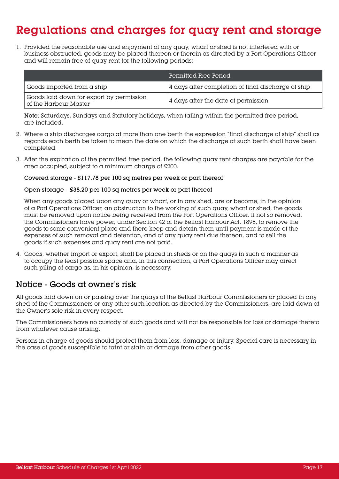### Regulations and charges for quay rent and storage

1. Provided the reasonable use and enjoyment of any quay, wharf or shed is not interfered with or business obstructed, goods may be placed thereon or therein as directed by a Port Operations Officer and will remain free of quay rent for the following periods:-

|                                                                   | Permitted Free Period                              |
|-------------------------------------------------------------------|----------------------------------------------------|
| Goods imported from a ship                                        | 4 days after completion of final discharge of ship |
| Goods laid down for export by permission<br>of the Harbour Master | 4 days after the date of permission                |

Note: Saturdays, Sundays and Statutory holidays, when falling within the permitted free period, are included.

- 2. Where a ship discharges cargo at more than one berth the expression "final discharge of ship" shall as regards each berth be taken to mean the date on which the discharge at such berth shall have been completed.
- 3. After the expiration of the permitted free period, the following quay rent charges are payable for the area occupied, subject to a minimum charge of £200.

#### Covered storage - £117.78 per 100 sq metres per week or part thereof

#### Open storage – £38.20 per 100 sq metres per week or part thereof

When any goods placed upon any quay or wharf, or in any shed, are or become, in the opinion of a Port Operations Officer, an obstruction to the working of such quay, wharf or shed, the goods must be removed upon notice being received from the Port Operations Officer. If not so removed, the Commissioners have power, under Section 42 of the Belfast Harbour Act, 1898, to remove the goods to some convenient place and there keep and detain them until payment is made of the expenses of such removal and detention, and of any quay rent due thereon, and to sell the goods if such expenses and quay rent are not paid.

4. Goods, whether import or export, shall be placed in sheds or on the quays in such a manner as to occupy the least possible space and, in this connection, a Port Operations Officer may direct such piling of cargo as, in his opinion, is necessary.

#### Notice - Goods at owner's risk

All goods laid down on or passing over the quays of the Belfast Harbour Commissioners or placed in any shed of the Commissioners or any other such location as directed by the Commissioners, are laid down at the Owner's sole risk in every respect.

The Commissioners have no custody of such goods and will not be responsible for loss or damage thereto from whatever cause arising.

Persons in charge of goods should protect them from loss, damage or injury. Special care is necessary in the case of goods susceptible to taint or stain or damage from other goods.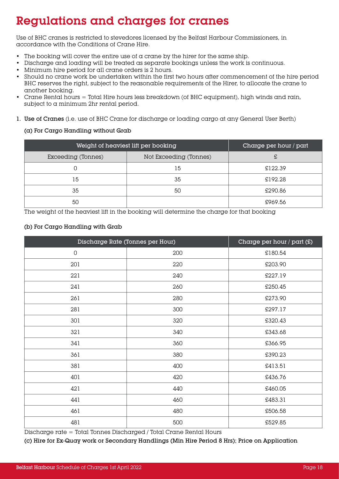### Regulations and charges for cranes

Use of BHC cranes is restricted to stevedores licensed by the Belfast Harbour Commissioners, in accordance with the Conditions of Crane Hire.

- The booking will cover the entire use of  $\alpha$  crane by the hirer for the same ship.
- Discharge and loading will be treated as separate bookings unless the work is continuous.
- Minimum hire period for all crane orders is 2 hours.
- Should no crane work be undertaken within the first two hours after commencement of the hire period BHC reserves the right, subject to the reasonable requirements of the Hirer, to allocate the crane to another booking.
- Crane Rental hours  $=$  Total Hire hours less breakdown (of BHC equipment), high winds and rain, subject to a minimum 2hr rental period.
- 1. Use of Cranes (i.e. use of BHC Crane for discharge or loading cargo at any General User Berth)

#### (a) For Cargo Handling without Grab

| Weight of heaviest lift per booking | Charge per hour / part |         |
|-------------------------------------|------------------------|---------|
| Exceeding (Tonnes)                  | Not Exceeding (Tonnes) | £       |
|                                     | 15                     | £122.39 |
| 15                                  | 35                     | £192.28 |
| 35                                  | 50                     | £290.86 |
| 50                                  |                        | £969.56 |

The weight of the heaviest lift in the booking will determine the charge for that booking

#### (b) For Cargo Handling with Grab

| Discharge Rate (Tonnes per Hour) |     | Charge per hour $/$ part $(E)$ |
|----------------------------------|-----|--------------------------------|
| $\mathsf{O}$                     | 200 | £180.54                        |
| 201                              | 220 | £203.90                        |
| 221                              | 240 | £227.19                        |
| 241                              | 260 | £250.45                        |
| 261                              | 280 | £273.90                        |
| 281                              | 300 | £297.17                        |
| 301                              | 320 | £320.43                        |
| 321                              | 340 | £343.68                        |
| 341                              | 360 | £366.95                        |
| 361                              | 380 | £390.23                        |
| 381                              | 400 | £413.51                        |
| 401                              | 420 | £436.76                        |
| 421                              | 440 | £460.05                        |
| 441                              | 460 | £483.31                        |
| 461                              | 480 | £506.58                        |
| 481                              | 500 | £529.85                        |

Discharge rate = Total Tonnes Discharged / Total Crane Rental Hours

(c) Hire for Ex-Quay work or Secondary Handlings (Min Hire Period 8 Hrs); Price on Application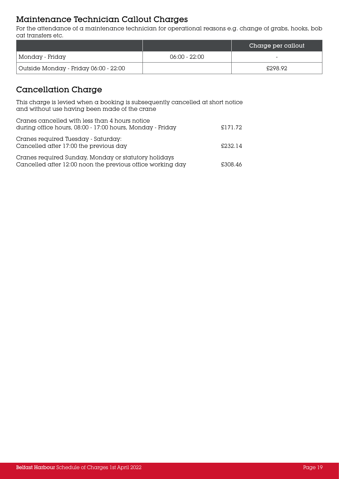#### Maintenance Technician Callout Charges

For the attendance of a maintenance technician for operational reasons e.g. change of grabs, hooks, bob cat transfers etc.

|                                       |               | Charge per callout |
|---------------------------------------|---------------|--------------------|
| Monday - Friday                       | 06:00 - 22:00 | -                  |
| Outside Monday - Friday 06:00 - 22:00 |               | £298.92            |

#### Cancellation Charge

This charge is levied when a booking is subsequently cancelled at short notice and without use having been made of the crane

| Cranes cancelled with less than 4 hours notice<br>during office hours, 08:00 - 17:00 hours, Monday - Friday        | £171.72 |
|--------------------------------------------------------------------------------------------------------------------|---------|
| Cranes required Tuesday - Saturday:<br>Cancelled after 17:00 the previous day                                      | £232.14 |
| Cranes required Sunday, Monday or statutory holidays<br>Cancelled after 12:00 noon the previous office working day | £308.46 |